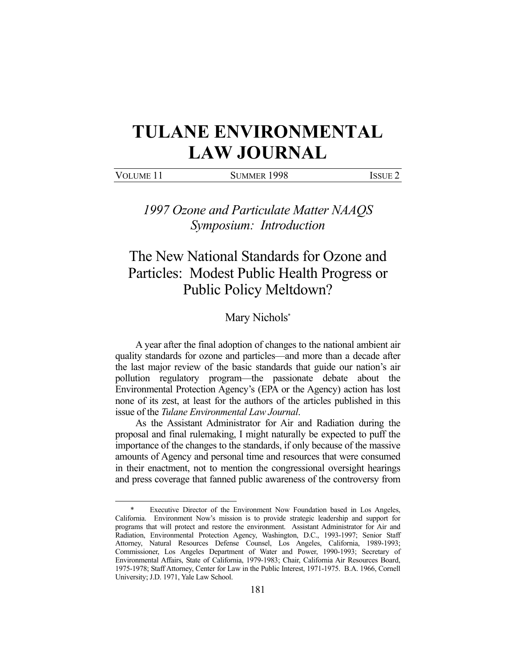## **TULANE ENVIRONMENTAL LAW JOURNAL**

VOLUME 11 SUMMER 1998 ISSUE 2

*1997 Ozone and Particulate Matter NAAQS Symposium: Introduction* 

## The New National Standards for Ozone and Particles: Modest Public Health Progress or Public Policy Meltdown?

## Mary Nichols\*

 A year after the final adoption of changes to the national ambient air quality standards for ozone and particles—and more than a decade after the last major review of the basic standards that guide our nation's air pollution regulatory program—the passionate debate about the Environmental Protection Agency's (EPA or the Agency) action has lost none of its zest, at least for the authors of the articles published in this issue of the *Tulane Environmental Law Journal*.

 As the Assistant Administrator for Air and Radiation during the proposal and final rulemaking, I might naturally be expected to puff the importance of the changes to the standards, if only because of the massive amounts of Agency and personal time and resources that were consumed in their enactment, not to mention the congressional oversight hearings and press coverage that fanned public awareness of the controversy from

1

Executive Director of the Environment Now Foundation based in Los Angeles, California. Environment Now's mission is to provide strategic leadership and support for programs that will protect and restore the environment. Assistant Administrator for Air and Radiation, Environmental Protection Agency, Washington, D.C., 1993-1997; Senior Staff Attorney, Natural Resources Defense Counsel, Los Angeles, California, 1989-1993; Commissioner, Los Angeles Department of Water and Power, 1990-1993; Secretary of Environmental Affairs, State of California, 1979-1983; Chair, California Air Resources Board, 1975-1978; Staff Attorney, Center for Law in the Public Interest, 1971-1975. B.A. 1966, Cornell University; J.D. 1971, Yale Law School.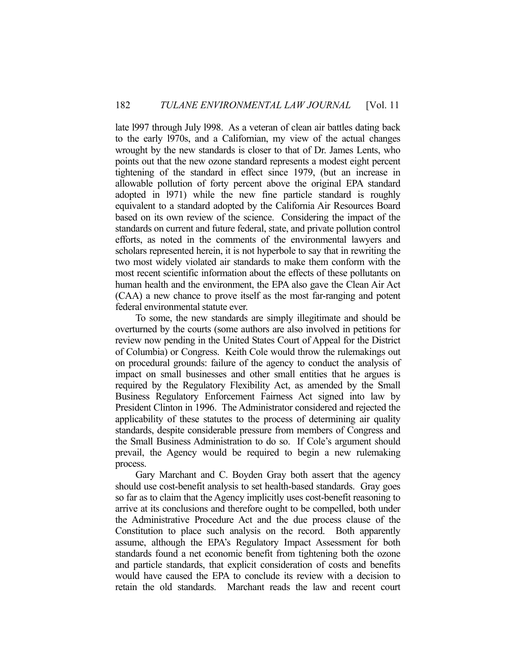late l997 through July l998. As a veteran of clean air battles dating back to the early l970s, and a Californian, my view of the actual changes wrought by the new standards is closer to that of Dr. James Lents, who points out that the new ozone standard represents a modest eight percent tightening of the standard in effect since 1979, (but an increase in allowable pollution of forty percent above the original EPA standard adopted in l971) while the new fine particle standard is roughly equivalent to a standard adopted by the California Air Resources Board based on its own review of the science. Considering the impact of the standards on current and future federal, state, and private pollution control efforts, as noted in the comments of the environmental lawyers and scholars represented herein, it is not hyperbole to say that in rewriting the two most widely violated air standards to make them conform with the most recent scientific information about the effects of these pollutants on human health and the environment, the EPA also gave the Clean Air Act (CAA) a new chance to prove itself as the most far-ranging and potent federal environmental statute ever.

 To some, the new standards are simply illegitimate and should be overturned by the courts (some authors are also involved in petitions for review now pending in the United States Court of Appeal for the District of Columbia) or Congress. Keith Cole would throw the rulemakings out on procedural grounds: failure of the agency to conduct the analysis of impact on small businesses and other small entities that he argues is required by the Regulatory Flexibility Act, as amended by the Small Business Regulatory Enforcement Fairness Act signed into law by President Clinton in 1996. The Administrator considered and rejected the applicability of these statutes to the process of determining air quality standards, despite considerable pressure from members of Congress and the Small Business Administration to do so. If Cole's argument should prevail, the Agency would be required to begin a new rulemaking process.

 Gary Marchant and C. Boyden Gray both assert that the agency should use cost-benefit analysis to set health-based standards. Gray goes so far as to claim that the Agency implicitly uses cost-benefit reasoning to arrive at its conclusions and therefore ought to be compelled, both under the Administrative Procedure Act and the due process clause of the Constitution to place such analysis on the record. Both apparently assume, although the EPA's Regulatory Impact Assessment for both standards found a net economic benefit from tightening both the ozone and particle standards, that explicit consideration of costs and benefits would have caused the EPA to conclude its review with a decision to retain the old standards. Marchant reads the law and recent court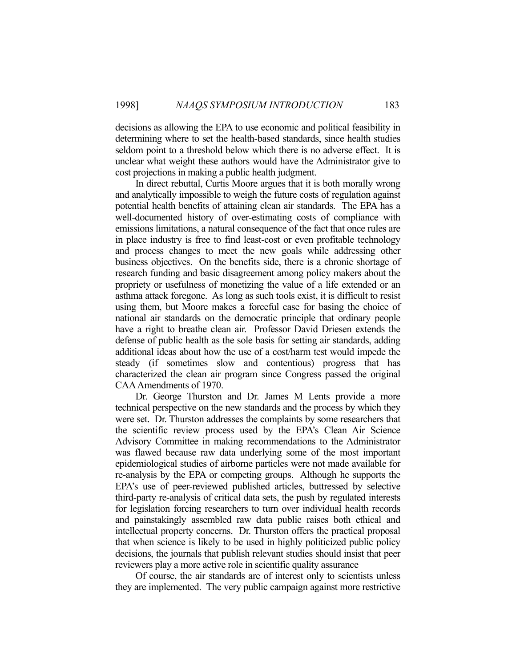decisions as allowing the EPA to use economic and political feasibility in determining where to set the health-based standards, since health studies seldom point to a threshold below which there is no adverse effect. It is unclear what weight these authors would have the Administrator give to cost projections in making a public health judgment.

 In direct rebuttal, Curtis Moore argues that it is both morally wrong and analytically impossible to weigh the future costs of regulation against potential health benefits of attaining clean air standards. The EPA has a well-documented history of over-estimating costs of compliance with emissions limitations, a natural consequence of the fact that once rules are in place industry is free to find least-cost or even profitable technology and process changes to meet the new goals while addressing other business objectives. On the benefits side, there is a chronic shortage of research funding and basic disagreement among policy makers about the propriety or usefulness of monetizing the value of a life extended or an asthma attack foregone. As long as such tools exist, it is difficult to resist using them, but Moore makes a forceful case for basing the choice of national air standards on the democratic principle that ordinary people have a right to breathe clean air. Professor David Driesen extends the defense of public health as the sole basis for setting air standards, adding additional ideas about how the use of a cost/harm test would impede the steady (if sometimes slow and contentious) progress that has characterized the clean air program since Congress passed the original CAA Amendments of 1970.

 Dr. George Thurston and Dr. James M Lents provide a more technical perspective on the new standards and the process by which they were set. Dr. Thurston addresses the complaints by some researchers that the scientific review process used by the EPA's Clean Air Science Advisory Committee in making recommendations to the Administrator was flawed because raw data underlying some of the most important epidemiological studies of airborne particles were not made available for re-analysis by the EPA or competing groups. Although he supports the EPA's use of peer-reviewed published articles, buttressed by selective third-party re-analysis of critical data sets, the push by regulated interests for legislation forcing researchers to turn over individual health records and painstakingly assembled raw data public raises both ethical and intellectual property concerns. Dr. Thurston offers the practical proposal that when science is likely to be used in highly politicized public policy decisions, the journals that publish relevant studies should insist that peer reviewers play a more active role in scientific quality assurance

 Of course, the air standards are of interest only to scientists unless they are implemented. The very public campaign against more restrictive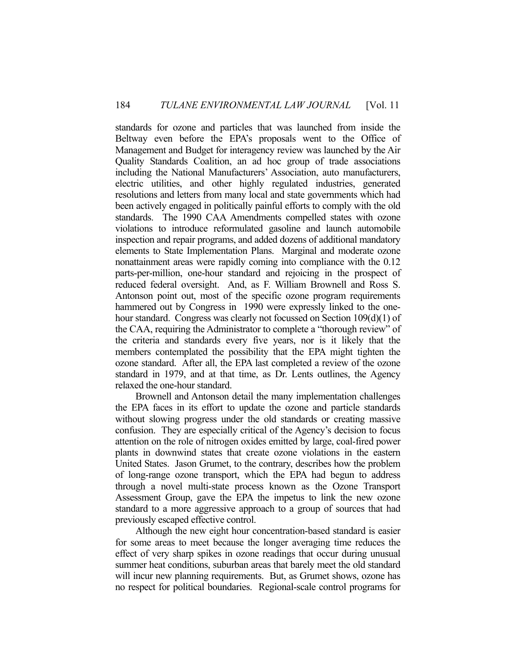standards for ozone and particles that was launched from inside the Beltway even before the EPA's proposals went to the Office of Management and Budget for interagency review was launched by the Air Quality Standards Coalition, an ad hoc group of trade associations including the National Manufacturers' Association, auto manufacturers, electric utilities, and other highly regulated industries, generated resolutions and letters from many local and state governments which had been actively engaged in politically painful efforts to comply with the old standards. The 1990 CAA Amendments compelled states with ozone violations to introduce reformulated gasoline and launch automobile inspection and repair programs, and added dozens of additional mandatory elements to State Implementation Plans. Marginal and moderate ozone nonattainment areas were rapidly coming into compliance with the 0.12 parts-per-million, one-hour standard and rejoicing in the prospect of reduced federal oversight. And, as F. William Brownell and Ross S. Antonson point out, most of the specific ozone program requirements hammered out by Congress in 1990 were expressly linked to the onehour standard. Congress was clearly not focussed on Section 109(d)(1) of the CAA, requiring the Administrator to complete a "thorough review" of the criteria and standards every five years, nor is it likely that the members contemplated the possibility that the EPA might tighten the ozone standard. After all, the EPA last completed a review of the ozone standard in 1979, and at that time, as Dr. Lents outlines, the Agency relaxed the one-hour standard.

 Brownell and Antonson detail the many implementation challenges the EPA faces in its effort to update the ozone and particle standards without slowing progress under the old standards or creating massive confusion. They are especially critical of the Agency's decision to focus attention on the role of nitrogen oxides emitted by large, coal-fired power plants in downwind states that create ozone violations in the eastern United States. Jason Grumet, to the contrary, describes how the problem of long-range ozone transport, which the EPA had begun to address through a novel multi-state process known as the Ozone Transport Assessment Group, gave the EPA the impetus to link the new ozone standard to a more aggressive approach to a group of sources that had previously escaped effective control.

 Although the new eight hour concentration-based standard is easier for some areas to meet because the longer averaging time reduces the effect of very sharp spikes in ozone readings that occur during unusual summer heat conditions, suburban areas that barely meet the old standard will incur new planning requirements. But, as Grumet shows, ozone has no respect for political boundaries. Regional-scale control programs for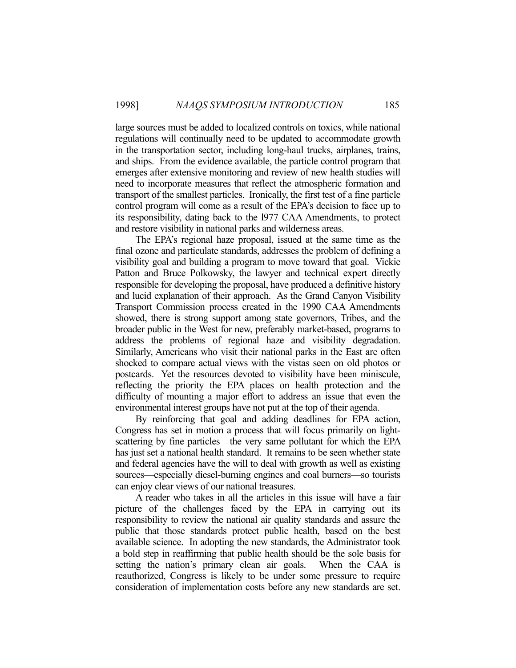large sources must be added to localized controls on toxics, while national regulations will continually need to be updated to accommodate growth in the transportation sector, including long-haul trucks, airplanes, trains, and ships. From the evidence available, the particle control program that emerges after extensive monitoring and review of new health studies will need to incorporate measures that reflect the atmospheric formation and transport of the smallest particles. Ironically, the first test of a fine particle control program will come as a result of the EPA's decision to face up to its responsibility, dating back to the l977 CAA Amendments, to protect and restore visibility in national parks and wilderness areas.

 The EPA's regional haze proposal, issued at the same time as the final ozone and particulate standards, addresses the problem of defining a visibility goal and building a program to move toward that goal. Vickie Patton and Bruce Polkowsky, the lawyer and technical expert directly responsible for developing the proposal, have produced a definitive history and lucid explanation of their approach. As the Grand Canyon Visibility Transport Commission process created in the 1990 CAA Amendments showed, there is strong support among state governors, Tribes, and the broader public in the West for new, preferably market-based, programs to address the problems of regional haze and visibility degradation. Similarly, Americans who visit their national parks in the East are often shocked to compare actual views with the vistas seen on old photos or postcards. Yet the resources devoted to visibility have been miniscule, reflecting the priority the EPA places on health protection and the difficulty of mounting a major effort to address an issue that even the environmental interest groups have not put at the top of their agenda.

 By reinforcing that goal and adding deadlines for EPA action, Congress has set in motion a process that will focus primarily on lightscattering by fine particles—the very same pollutant for which the EPA has just set a national health standard. It remains to be seen whether state and federal agencies have the will to deal with growth as well as existing sources—especially diesel-burning engines and coal burners—so tourists can enjoy clear views of our national treasures.

 A reader who takes in all the articles in this issue will have a fair picture of the challenges faced by the EPA in carrying out its responsibility to review the national air quality standards and assure the public that those standards protect public health, based on the best available science. In adopting the new standards, the Administrator took a bold step in reaffirming that public health should be the sole basis for setting the nation's primary clean air goals. When the CAA is reauthorized, Congress is likely to be under some pressure to require consideration of implementation costs before any new standards are set.